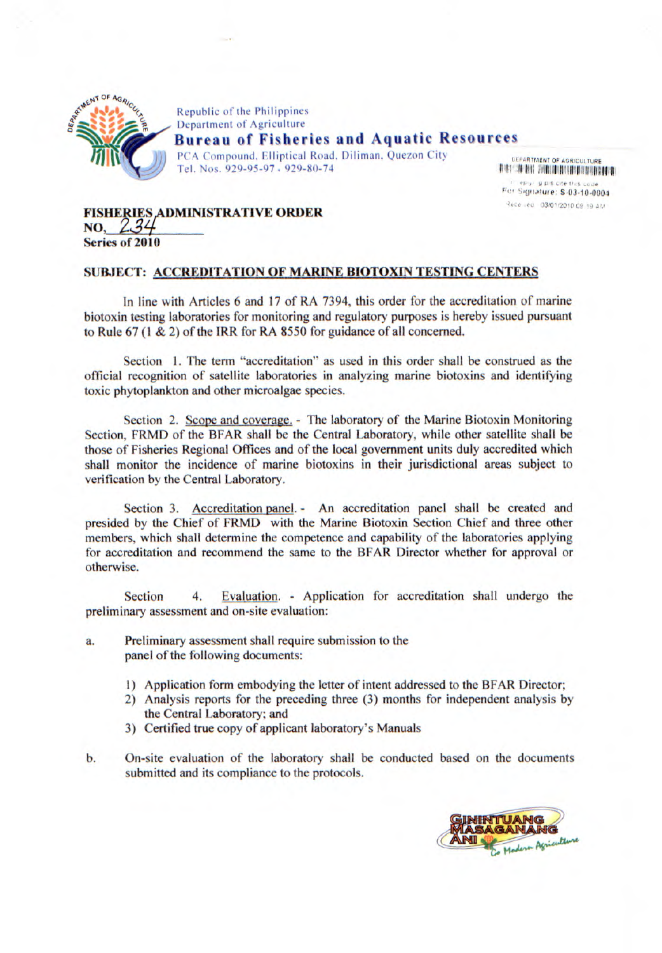

Republic of the Philippines Department of Agriculture **Bureau of Fisheries and Aquatic Resources**  PCA Compound, Elliptical Road, Diliman, Quezon City Tel. Nos. *929-95-97* • 929-80-74

**UEPARTMENT OF AGRICULTURE llllulIiI\$!l :!IlllulIalIIIlIpIhlllIivHIllIlilI**  étime, a più cita thos. For Signature: \$-03-10-0004 Received 03/01/2010 09, 19 AM

## **FISHERIES ADMINISTRATIVE ORDER**<br>NO, 234<br>Series of 2010 **Series of 2010**

## **SUBJECT: ACCREDITATION OF MARINE BIOTOXIN TESTING CENTERS**

In line with Articles 6 and 17 of RA 7394, this order for the accreditation of marine biotoxin *testing* laboratories for monitoring and regulatory purposes is hereby issued pursuant to Rule 67 (1 & 2) of the IRR for RA 8550 for guidance of all concerned.

Section 1. The term "accreditation" as used in this order shall be construed as the official recognition of satellite laboratories in analyzing marine biotoxins and identifying toxic phytoplankton and other microalgae species.

Section 2. Scope and coverage. - The laboratory of the Marine Biotoxin Monitoring Section, FRMD of the BFAR shall be the Central Laboratory, while other satellite shall be those of Fisheries Regional Offices and of the local government units duly accredited which shall monitor the incidence of marine biotoxins in their jurisdictional areas subject to verification by the Central Laboratory.

Section 3. Accreditation panel. - An accreditation panel shall be created and presided by the Chief of FRMD with the Marine Biotoxin Section Chief and three other members, which shall determine the competence and capability of the laboratories applying for accreditation and recommend the same to the BFAR Director whether for approval or otherwise.

Section 4. Evaluation. - Application for accreditation shall undergo the preliminary assessment and on-site evaluation:

- a. Preliminary assessment shall require submission to the panel of the following documents:
	- 1) Application form embodying the letter of intent addressed to the BFAR Director;
	- 2) Analysis reports for the preceding three (3) months for independent analysis by the Central Laboratory; and
	- 3) Certified true copy of applicant laboratory's Manuals
- b. On-site evaluation of the laboratory shall be conducted based on the documents submitted and its compliance to the protocols.

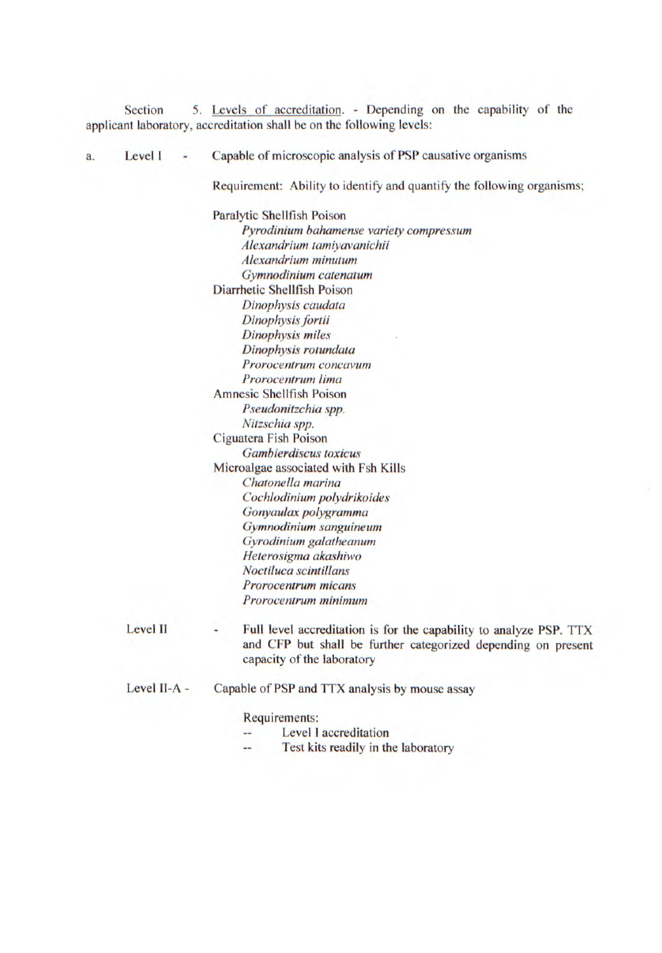Section *5.* Levels of accreditation. - Depending on the capability of the **applicant laboratory, accreditation shall be on the following levels:** 

**a. Level I - Capable of microscopic analysis** of PSP causative organisms

Requirement: Ability to identify and quantify the following organisms;

Paralytic Shellfish Poison *Pyrodinium bahamense variety compressum Alexandrium tamiyavanichii Alexandrium minutum Gymnodinium catenatum*  Diarrhetic Shellfish Poison *Dinophysis caudata Dinophysis fortii Dinophysis miles Dinophysis rotundata Prorocentrum concavum Prorocentrum lima*  Amnesic Shellfish Poison *Pseudonitzchia spp. Nitzschia spp.*  Ciguatera Fish Poison *Gambierdiscus toxicus*  Microalgae associated with Fsh Kills *Chatonella marina Cochiodinium polydrikoides*  Gonyaulax polygramma *Gymnodinium sanguineum Gyrodinium galatheanum Heterosigma akashiwo Noctiluca scintilans Prorocentrum micans Prorocentrum minimum* 

- Level II Full level accreditation is for the capability to analyze PSP. TTX and CFP but shall be further categorized depending on present capacity of the laboratory
- Level II-A Capable of PSP and TTX analysis by mouse assay

Requirements:

- Level I accreditation
- Test kits readily in the laboratory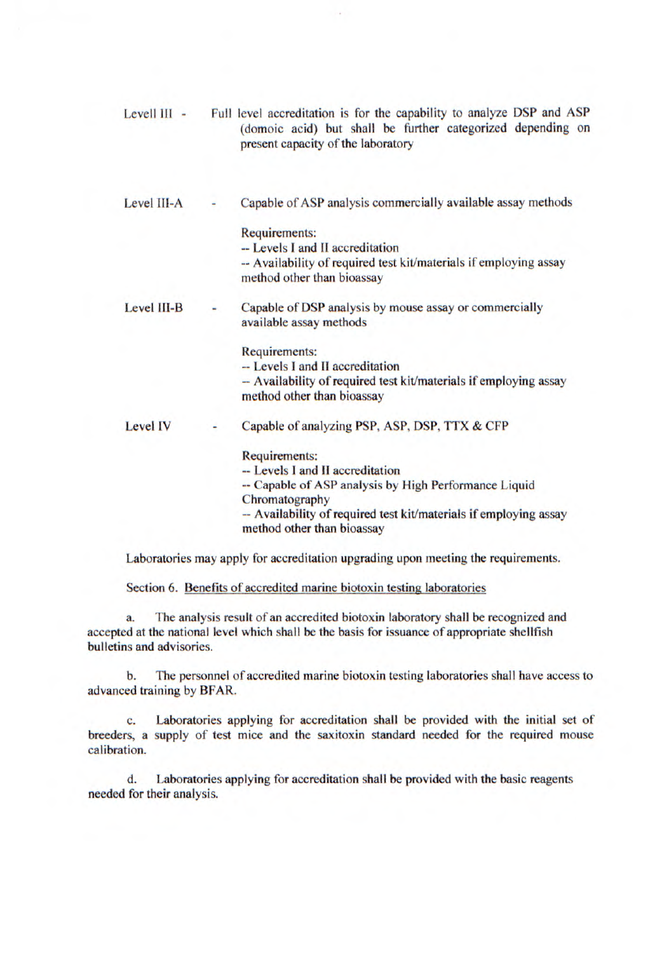| Levell III - | Full level accreditation is for the capability to analyze DSP and ASP<br>(domoic acid) but shall be further categorized depending on<br>present capacity of the laboratory |
|--------------|----------------------------------------------------------------------------------------------------------------------------------------------------------------------------|
| Level III-A  | Capable of ASP analysis commercially available assay methods                                                                                                               |
|              | <b>Requirements:</b><br>-- Levels I and II accreditation<br>-- Availability of required test kit/materials if employing assay                                              |
|              | method other than bioassay                                                                                                                                                 |
| Level III-B  | Capable of DSP analysis by mouse assay or commercially<br>available assay methods                                                                                          |
|              | Requirements:<br>-- Levels I and II accreditation                                                                                                                          |
|              | -- Availability of required test kit/materials if employing assay<br>method other than bioassay                                                                            |
| Level IV     | Capable of analyzing PSP, ASP, DSP, TTX & CFP                                                                                                                              |
|              | <b>Requirements:</b>                                                                                                                                                       |
|              | -- Levels I and II accreditation<br>-- Capable of ASP analysis by High Performance Liquid                                                                                  |
|              | Chromatography<br>-- Availability of required test kit/materials if employing assay<br>method other than bioassay                                                          |

Laboratories may apply for accreditation upgrading upon meeting the requirements.

Section 6. Benefits of accredited marine biotoxin testing laboratories

a. The analysis result of an accredited biotoxin laboratory shall be recognized and accepted at the national level which shall be the basis for issuance of appropriate shellfish bulletins and advisories.

b. The personnel of accredited marine biotoxin testing laboratories shall have access to advanced training by BFAR.

C. Laboratories applying for accreditation shall be provided with the initial set of breeders, a supply of test mice and the saxitoxin standard needed for the required mouse calibration.

d. Laboratories applying for accreditation shall be provided with the basic reagents needed for their analysis.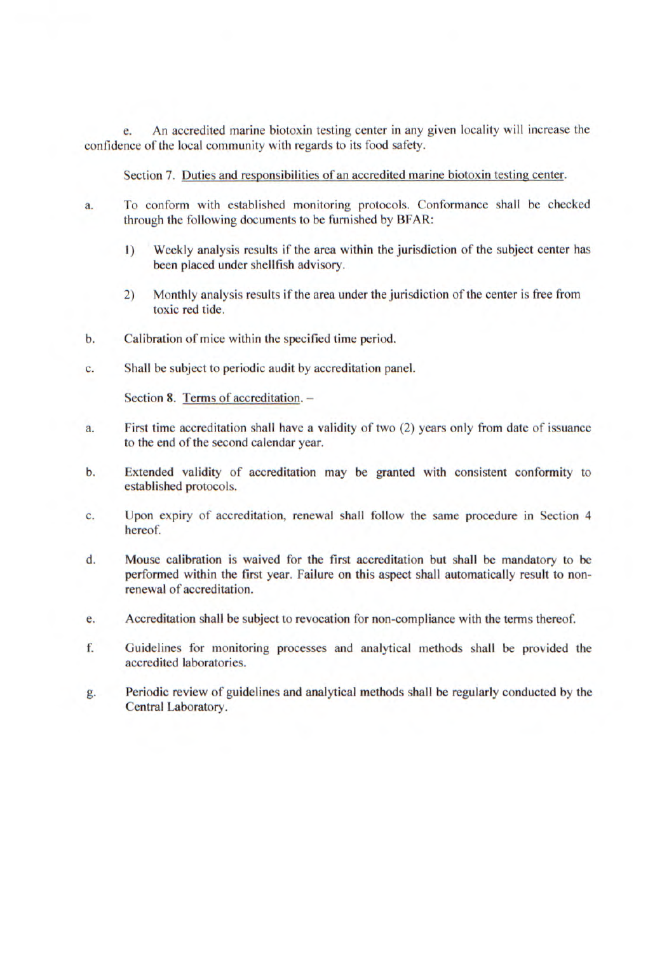e. An accredited marine biotoxin testing center in any given locality will increase the confidence of the local community with regards to its food safety.

Section 7. Duties and responsibilities of an accredited marine biotoxin testing center.

- a. To conform with established monitoring protocols. Conformance shall be checked through the following documents to be furnished by BFAR:
	- 1) Weekly analysis results if the area within the jurisdiction of the subject center has been placed under shellfish advisory.
	- 2) Monthly analysis results if the area under the jurisdiction of the center is free from toxic red tide.
- b. Calibration of mice within the specified time period.
- C. Shall be subject to periodic audit by accreditation panel.

Section 8. Terms of accreditation. -

- a. First time accreditation shall have a validity of two (2) years only from date of issuance to the end of the second calendar year.
- b. Extended validity of **accreditation may be granted with consistent** conformity to established protocols.
- C. Upon expiry of accreditation, renewal shall follow the same procedure in Section 4 hereof.
- d. Mouse calibration is waived for the first accreditation but shall be mandatory to be performed within the first year. Failure on this aspect shall automatically result to nonrenewal of accreditation.
- e. Accreditation shall be subject to revocation for non-compliance with the terms thereof.
- f. Guidelines for monitoring processes and analytical methods shall be provided the accredited laboratories.
- g. Periodic review of guidelines and analytical methods shall be regularly conducted by the Central Laboratory.